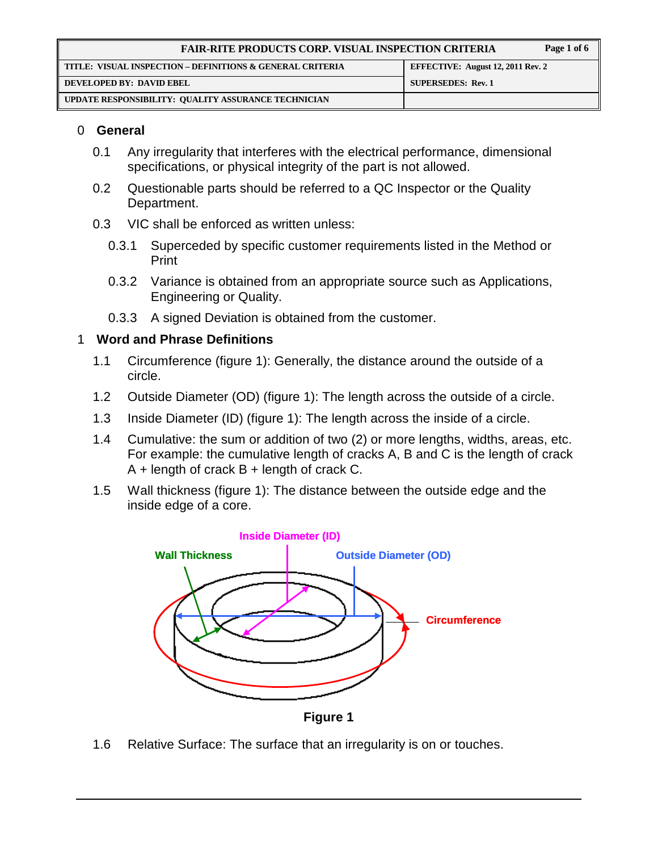| <b>FAIR-RITE PRODUCTS CORP. VISUAL INSPECTION CRITERIA</b> |                                   | Page 1 of 6 |
|------------------------------------------------------------|-----------------------------------|-------------|
| TITLE: VISUAL INSPECTION – DEFINITIONS & GENERAL CRITERIA  | EFFECTIVE: August 12, 2011 Rev. 2 |             |
| DEVELOPED BY: DAVID EBEL                                   | <b>SUPERSEDES: Rev. 1</b>         |             |
| UPDATE RESPONSIBILITY: QUALITY ASSURANCE TECHNICIAN        |                                   |             |

#### 0 **General**

- 0.1 Any irregularity that interferes with the electrical performance, dimensional specifications, or physical integrity of the part is not allowed.
- 0.2 Questionable parts should be referred to a QC Inspector or the Quality Department.
- 0.3 VIC shall be enforced as written unless:
	- 0.3.1 Superceded by specific customer requirements listed in the Method or Print
	- 0.3.2 Variance is obtained from an appropriate source such as Applications, Engineering or Quality.
	- 0.3.3 A signed Deviation is obtained from the customer.

### 1 **Word and Phrase Definitions**

- 1.1 Circumference (figure 1): Generally, the distance around the outside of a circle.
- 1.2 Outside Diameter (OD) (figure 1): The length across the outside of a circle.
- 1.3 Inside Diameter (ID) (figure 1): The length across the inside of a circle.
- 1.4 Cumulative: the sum or addition of two (2) or more lengths, widths, areas, etc. For example: the cumulative length of cracks A, B and C is the length of crack  $A +$  length of crack  $B +$  length of crack C.
- 1.5 Wall thickness (figure 1): The distance between the outside edge and the inside edge of a core.



- **Figure 1**
- 1.6 Relative Surface: The surface that an irregularity is on or touches.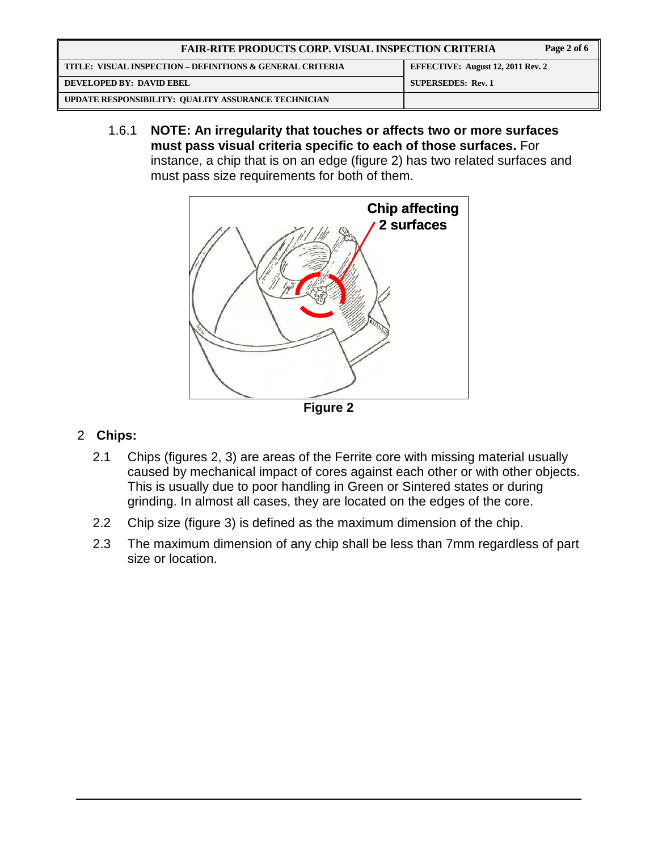| Page 2 of 6<br><b>FAIR-RITE PRODUCTS CORP. VISUAL INSPECTION CRITERIA</b> |                                   |  |
|---------------------------------------------------------------------------|-----------------------------------|--|
| TITLE: VISUAL INSPECTION – DEFINITIONS & GENERAL CRITERIA                 | EFFECTIVE: August 12, 2011 Rev. 2 |  |
| <b>DEVELOPED BY: DAVID EBEL</b>                                           | <b>SUPERSEDES: Rev. 1</b>         |  |
| UPDATE RESPONSIBILITY: QUALITY ASSURANCE TECHNICIAN                       |                                   |  |

1.6.1 **NOTE: An irregularity that touches or affects two or more surfaces must pass visual criteria specific to each of those surfaces.** For instance, a chip that is on an edge (figure 2) has two related surfaces and must pass size requirements for both of them.



**Figure 2** 

## 2 **Chips:**

- 2.1 Chips (figures 2, 3) are areas of the Ferrite core with missing material usually caused by mechanical impact of cores against each other or with other objects. This is usually due to poor handling in Green or Sintered states or during grinding. In almost all cases, they are located on the edges of the core.
- 2.2 Chip size (figure 3) is defined as the maximum dimension of the chip.
- 2.3 The maximum dimension of any chip shall be less than 7mm regardless of part size or location.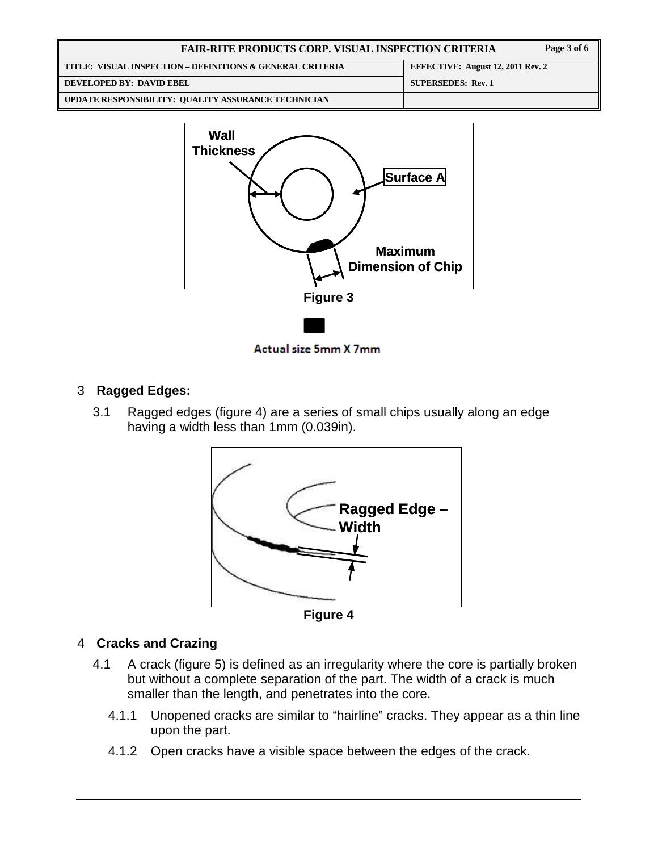| Page 3 of 6<br><b>FAIR-RITE PRODUCTS CORP. VISUAL INSPECTION CRITERIA</b> |                                          |
|---------------------------------------------------------------------------|------------------------------------------|
| TITLE: VISUAL INSPECTION – DEFINITIONS & GENERAL CRITERIA                 | <b>EFFECTIVE: August 12, 2011 Rev. 2</b> |
| DEVELOPED BY: DAVID EBEL                                                  | <b>SUPERSEDES: Rev. 1</b>                |
| UPDATE RESPONSIBILITY: QUALITY ASSURANCE TECHNICIAN                       |                                          |



Actual size 5mm X 7mm

# 3 **Ragged Edges:**

3.1 Ragged edges (figure 4) are a series of small chips usually along an edge having a width less than 1mm (0.039in).



**Figure 4** 

## 4 **Cracks and Crazing**

- 4.1 A crack (figure 5) is defined as an irregularity where the core is partially broken but without a complete separation of the part. The width of a crack is much smaller than the length, and penetrates into the core.
	- 4.1.1 Unopened cracks are similar to "hairline" cracks. They appear as a thin line upon the part.
	- 4.1.2 Open cracks have a visible space between the edges of the crack.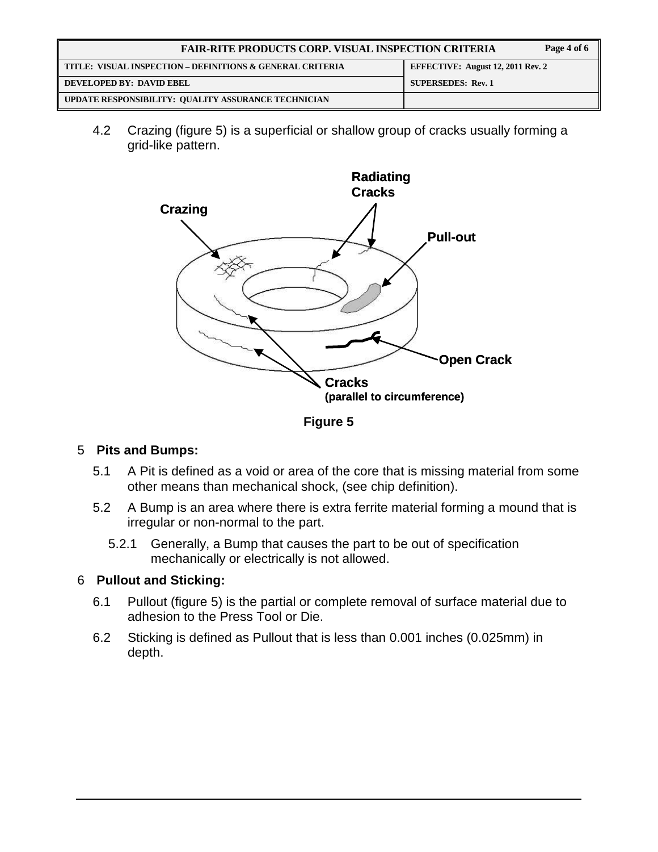| <b>FAIR-RITE PRODUCTS CORP. VISUAL INSPECTION CRITERIA</b><br>Page 4 of 6 |                                          |
|---------------------------------------------------------------------------|------------------------------------------|
| TITLE: VISUAL INSPECTION – DEFINITIONS & GENERAL CRITERIA                 | <b>EFFECTIVE: August 12, 2011 Rev. 2</b> |
| DEVELOPED BY: DAVID EBEL                                                  | <b>SUPERSEDES: Rev. 1</b>                |
| UPDATE RESPONSIBILITY: QUALITY ASSURANCE TECHNICIAN                       |                                          |

4.2 Crazing (figure 5) is a superficial or shallow group of cracks usually forming a grid-like pattern.



**Figure 5** 

## 5 **Pits and Bumps:**

- 5.1 A Pit is defined as a void or area of the core that is missing material from some other means than mechanical shock, (see chip definition).
- 5.2 A Bump is an area where there is extra ferrite material forming a mound that is irregular or non-normal to the part.
	- 5.2.1 Generally, a Bump that causes the part to be out of specification mechanically or electrically is not allowed.

## 6 **Pullout and Sticking:**

- 6.1 Pullout (figure 5) is the partial or complete removal of surface material due to adhesion to the Press Tool or Die.
- 6.2 Sticking is defined as Pullout that is less than 0.001 inches (0.025mm) in depth.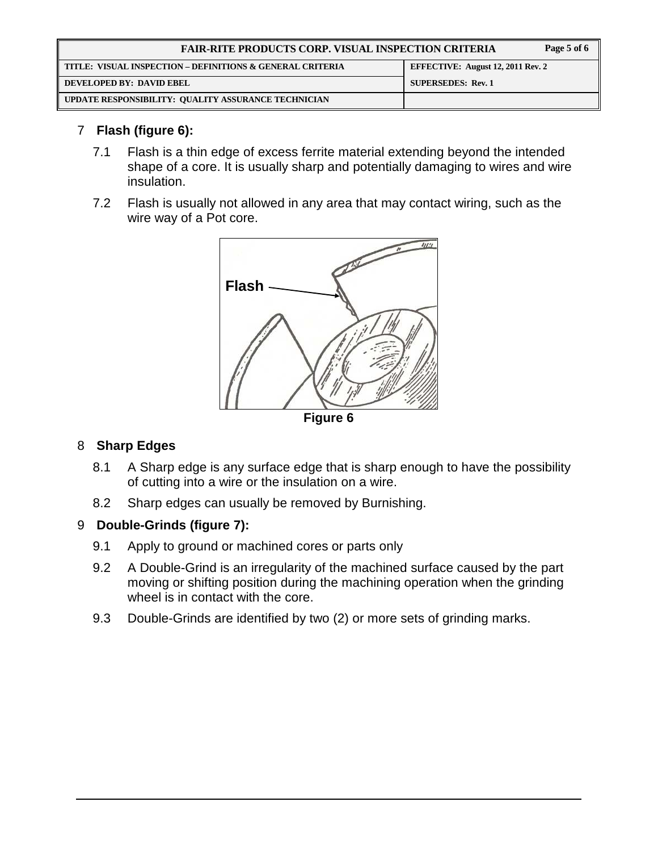| <b>FAIR-RITE PRODUCTS CORP. VISUAL INSPECTION CRITERIA</b> |                                          |  |
|------------------------------------------------------------|------------------------------------------|--|
| TITLE: VISUAL INSPECTION – DEFINITIONS & GENERAL CRITERIA  | <b>EFFECTIVE: August 12, 2011 Rev. 2</b> |  |
| DEVELOPED BY: DAVID EBEL                                   | <b>SUPERSEDES: Rev. 1</b>                |  |
| UPDATE RESPONSIBILITY: QUALITY ASSURANCE TECHNICIAN        |                                          |  |

## 7 **Flash (figure 6):**

- 7.1 Flash is a thin edge of excess ferrite material extending beyond the intended shape of a core. It is usually sharp and potentially damaging to wires and wire insulation.
- 7.2 Flash is usually not allowed in any area that may contact wiring, such as the wire way of a Pot core.



## 8 **Sharp Edges**

- 8.1 A Sharp edge is any surface edge that is sharp enough to have the possibility of cutting into a wire or the insulation on a wire.
- 8.2 Sharp edges can usually be removed by Burnishing.

#### 9 **Double-Grinds (figure 7):**

- 9.1 Apply to ground or machined cores or parts only
- 9.2 A Double-Grind is an irregularity of the machined surface caused by the part moving or shifting position during the machining operation when the grinding wheel is in contact with the core.
- 9.3 Double-Grinds are identified by two (2) or more sets of grinding marks.